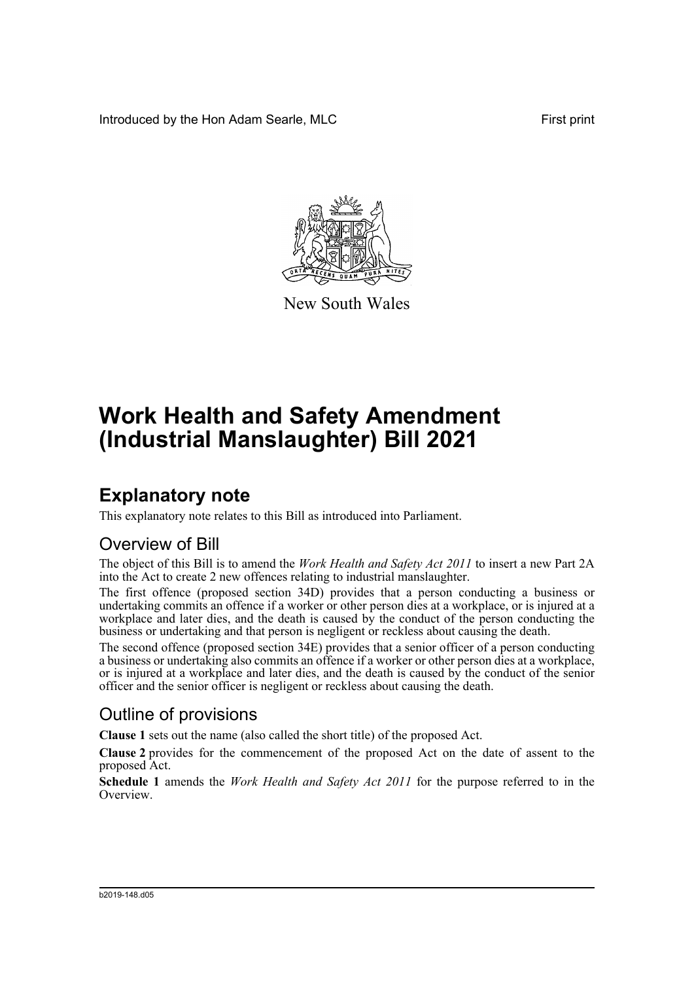Introduced by the Hon Adam Searle, MLC **First print** 



New South Wales

# **Work Health and Safety Amendment (Industrial Manslaughter) Bill 2021**

## **Explanatory note**

This explanatory note relates to this Bill as introduced into Parliament.

### Overview of Bill

The object of this Bill is to amend the *Work Health and Safety Act 2011* to insert a new Part 2A into the Act to create 2 new offences relating to industrial manslaughter.

The first offence (proposed section 34D) provides that a person conducting a business or undertaking commits an offence if a worker or other person dies at a workplace, or is injured at a workplace and later dies, and the death is caused by the conduct of the person conducting the business or undertaking and that person is negligent or reckless about causing the death.

The second offence (proposed section 34E) provides that a senior officer of a person conducting a business or undertaking also commits an offence if a worker or other person dies at a workplace, or is injured at a workplace and later dies, and the death is caused by the conduct of the senior officer and the senior officer is negligent or reckless about causing the death.

### Outline of provisions

**Clause 1** sets out the name (also called the short title) of the proposed Act.

**Clause 2** provides for the commencement of the proposed Act on the date of assent to the proposed Act.

**Schedule 1** amends the *Work Health and Safety Act 2011* for the purpose referred to in the Overview.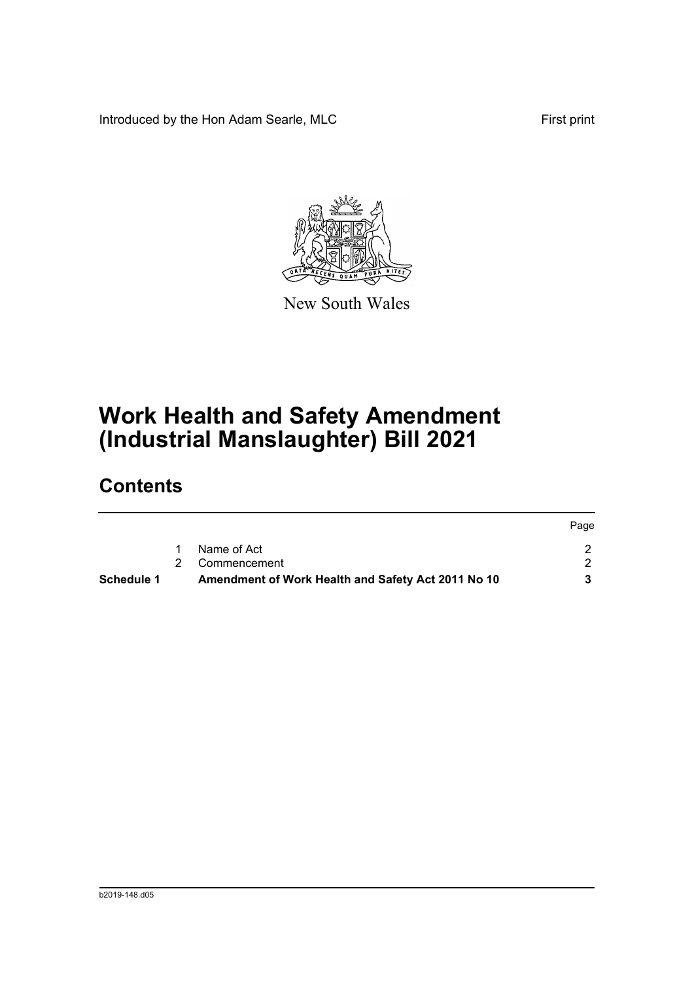Introduced by the Hon Adam Searle, MLC First print



New South Wales

## **Work Health and Safety Amendment (Industrial Manslaughter) Bill 2021**

## **Contents**

| <b>Schedule 1</b> | Amendment of Work Health and Safety Act 2011 No 10 |      |
|-------------------|----------------------------------------------------|------|
|                   | 2 Commencement                                     |      |
|                   | Name of Act                                        |      |
|                   |                                                    | Page |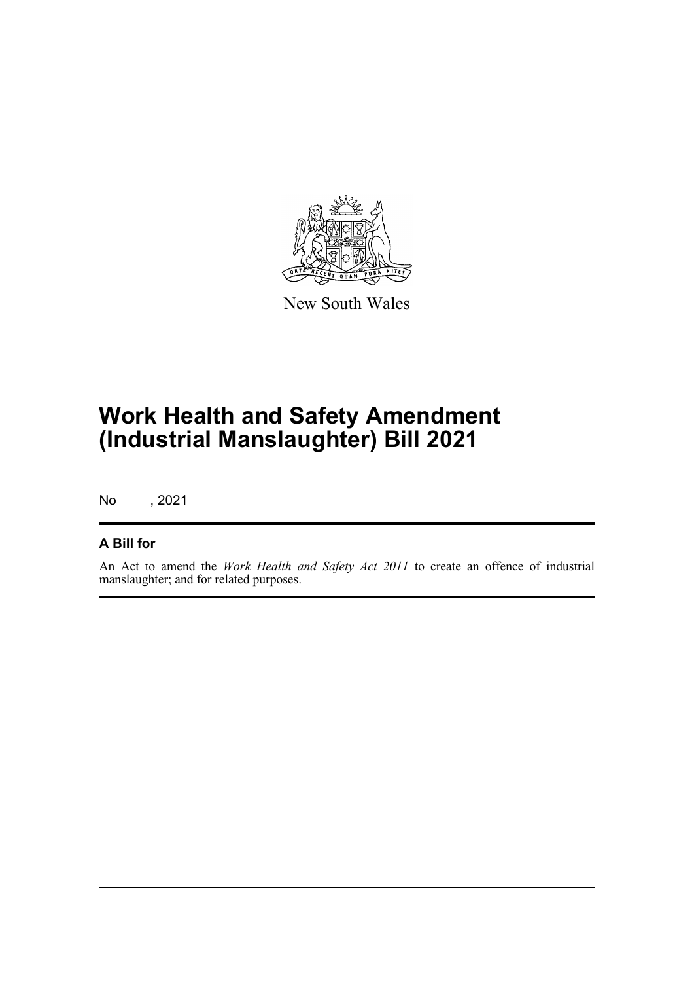

New South Wales

## **Work Health and Safety Amendment (Industrial Manslaughter) Bill 2021**

No , 2021

#### **A Bill for**

An Act to amend the *Work Health and Safety Act 2011* to create an offence of industrial manslaughter; and for related purposes.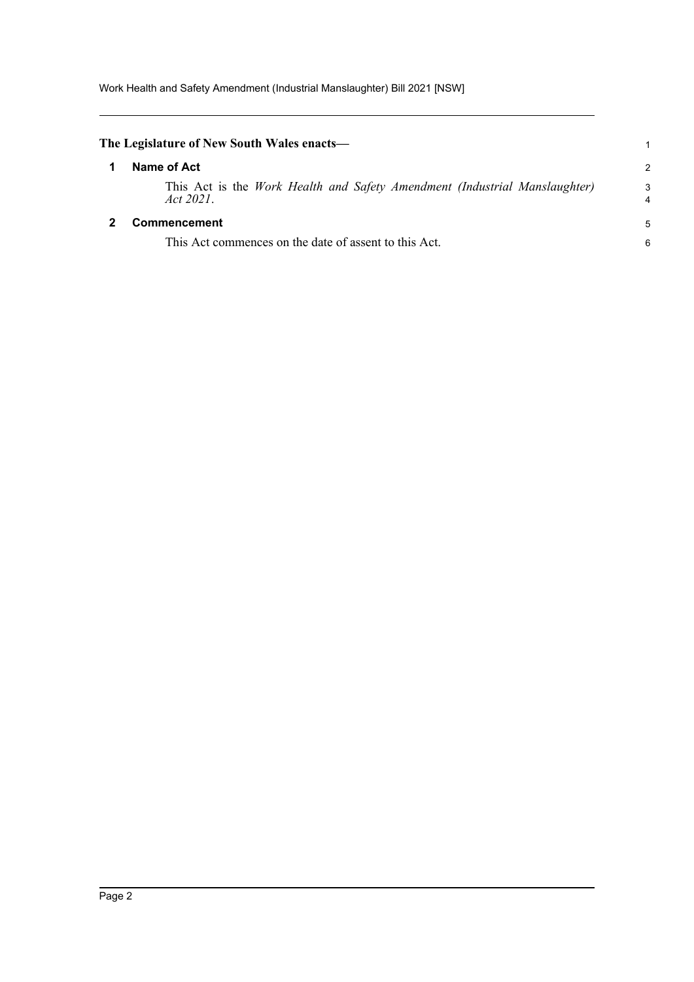<span id="page-3-1"></span><span id="page-3-0"></span>

| The Legislature of New South Wales enacts—                                              | 1             |
|-----------------------------------------------------------------------------------------|---------------|
| Name of Act                                                                             | $\mathcal{P}$ |
| This Act is the Work Health and Safety Amendment (Industrial Manslaughter)<br>Act 2021. | 3<br>4        |
| <b>Commencement</b>                                                                     | 5             |
| This Act commences on the date of assent to this Act.                                   | 6             |
|                                                                                         |               |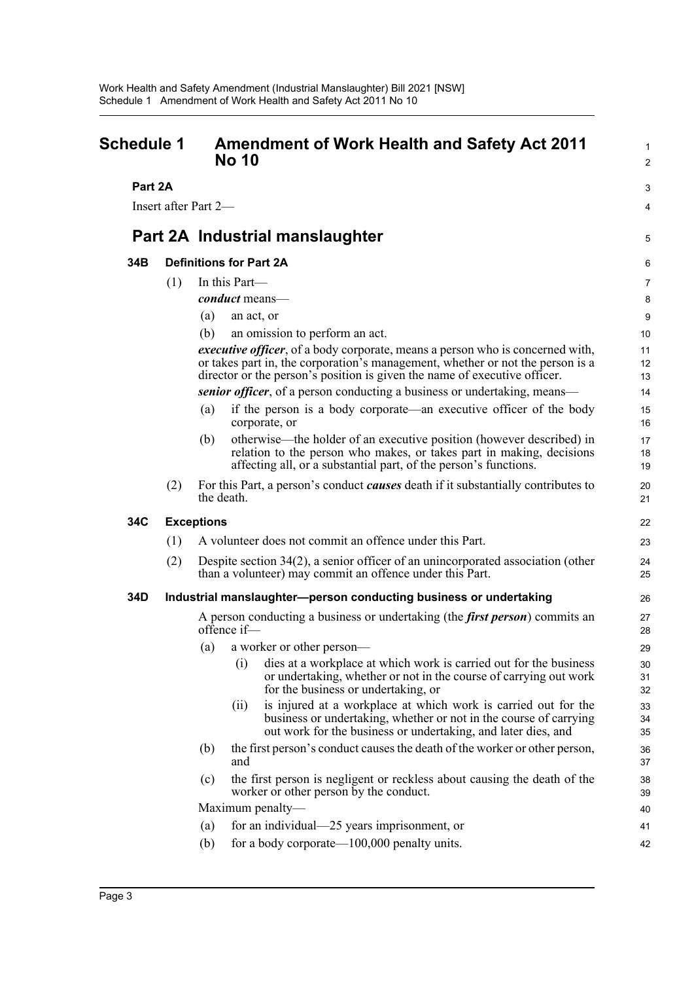<span id="page-4-0"></span>

| <b>Schedule 1</b><br>Part 2A |     | <b>Amendment of Work Health and Safety Act 2011</b><br><b>No 10</b>                                                                                                                                                                          |                |
|------------------------------|-----|----------------------------------------------------------------------------------------------------------------------------------------------------------------------------------------------------------------------------------------------|----------------|
|                              |     |                                                                                                                                                                                                                                              |                |
|                              |     | Part 2A Industrial manslaughter                                                                                                                                                                                                              | 5              |
| 34B                          |     | <b>Definitions for Part 2A</b>                                                                                                                                                                                                               | 6              |
|                              | (1) | In this Part-                                                                                                                                                                                                                                | 7              |
|                              |     | <i>conduct</i> means—                                                                                                                                                                                                                        | 8              |
|                              |     | (a)<br>an act, or                                                                                                                                                                                                                            | 9              |
|                              |     | (b)<br>an omission to perform an act.                                                                                                                                                                                                        | 10             |
|                              |     | executive officer, of a body corporate, means a person who is concerned with,<br>or takes part in, the corporation's management, whether or not the person is a<br>director or the person's position is given the name of executive officer. | 11<br>12<br>13 |
|                              |     | <i>senior officer</i> , of a person conducting a business or undertaking, means—                                                                                                                                                             | 14             |
|                              |     | if the person is a body corporate—an executive officer of the body<br>(a)<br>corporate, or                                                                                                                                                   | 15<br>16       |
|                              |     | otherwise—the holder of an executive position (however described) in<br>(b)<br>relation to the person who makes, or takes part in making, decisions<br>affecting all, or a substantial part, of the person's functions.                      | 17<br>18<br>19 |
|                              | (2) | For this Part, a person's conduct <i>causes</i> death if it substantially contributes to<br>the death.                                                                                                                                       | 20<br>21       |
| 34C                          |     | <b>Exceptions</b>                                                                                                                                                                                                                            | 22             |
|                              | (1) | A volunteer does not commit an offence under this Part.                                                                                                                                                                                      | 23             |
|                              | (2) | Despite section 34(2), a senior officer of an unincorporated association (other<br>than a volunteer) may commit an offence under this Part.                                                                                                  | 24<br>25       |
| 34D                          |     | Industrial manslaughter-person conducting business or undertaking                                                                                                                                                                            | 26             |
|                              |     | A person conducting a business or undertaking (the <i>first person</i> ) commits an<br>offence if-                                                                                                                                           | 27<br>28       |
|                              |     | a worker or other person-<br>(a)                                                                                                                                                                                                             | 29             |
|                              |     | (i)<br>dies at a workplace at which work is carried out for the business<br>or undertaking, whether or not in the course of carrying out work<br>for the business or undertaking, or                                                         | 30<br>31<br>32 |
|                              |     | is injured at a workplace at which work is carried out for the<br>(11)<br>business or undertaking, whether or not in the course of carrying<br>out work for the business or undertaking, and later dies, and                                 | 33<br>34<br>35 |
|                              |     | the first person's conduct causes the death of the worker or other person,<br>(b)<br>and                                                                                                                                                     | 36<br>37       |
|                              |     | the first person is negligent or reckless about causing the death of the<br>(c)<br>worker or other person by the conduct.                                                                                                                    | 38<br>39       |
|                              |     | Maximum penalty—                                                                                                                                                                                                                             | 40             |
|                              |     | for an individual—25 years imprisonment, or<br>(a)                                                                                                                                                                                           | 41             |
|                              |     | for a body corporate— $100,000$ penalty units.<br>(b)                                                                                                                                                                                        | 42             |